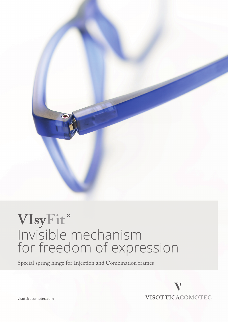

# VIsyFit® Invisible mechanism for freedom of expression

Special spring hinge for Injection and Combination frames



**visotticacomotec.com**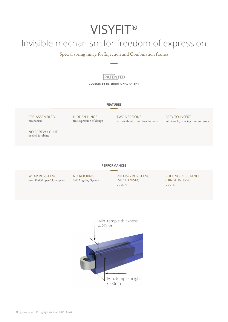# **VISYFIT®**

# Invisible mechanism for freedom of expression

Special spring hinge for Injection and Combination frames

### **PATENTED COVERED BY INTERNATIONAL PATENT**

### **FEATURES**

PRE-ASSEMBLED mechanism

HIDDEN HINGE free expression of design TWO VERSIONS with/without front hinge in metal EASY TO INSERT into temple, reducing time and costs

NO SCREW / GLUE needed for fixing

### **PERFORMANCES**

WEAR RESISTANCE over 50,000 open/close cycles NO ROCKING Self Aligning System PULLING RESISTANCE (MECHANISM)  $> 250 N$ 

PULLING RESISTANCE (HINGE IN TR90) > 250 N

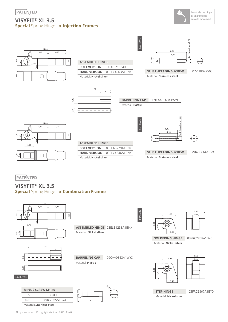## **VISYFIT® XL 3.5 Special** Spring Hinge for **Injection Frames**





| <b>ASSEMBLED HINGE</b>  |                |
|-------------------------|----------------|
| <b>SOFT VERSION</b>     | 03EL21634000   |
| <b>HARD VERSION</b>     | 03ELC4963A1BNX |
| Material: Nickel silver |                |

SCREWS

SCREWS

Material: **Plastic**

**BARRELING CAP** 09CAA0363A1WYX

**HINGES** 







| <b>ASSEMBLED HINGE</b>  |                |
|-------------------------|----------------|
| <b>SOFT VERSION</b>     | 03ELA0279A1BNX |
| <b>HARD VERSION</b>     | 03ELC4846A1BNX |
| Material: Nickel silver |                |



**SELF THREADING SCREW** 07VIA0366A1BYX Material: **Stainless steel**

**PATENTED** 

## **VISYFIT® XL 3.5 Special** Spring Hinge for **Combination Frames**





 5,80 2,00

**SOLDERING HINGE** 03FRC2868A1BY0

Material: **Nickel silver**

 4,90 5,80 2,00



**STEP HINGE** 03FRC2867A1BY0 Material: **Nickel silver**

3,40

5,00 3,40

Material: **Stainless steel**